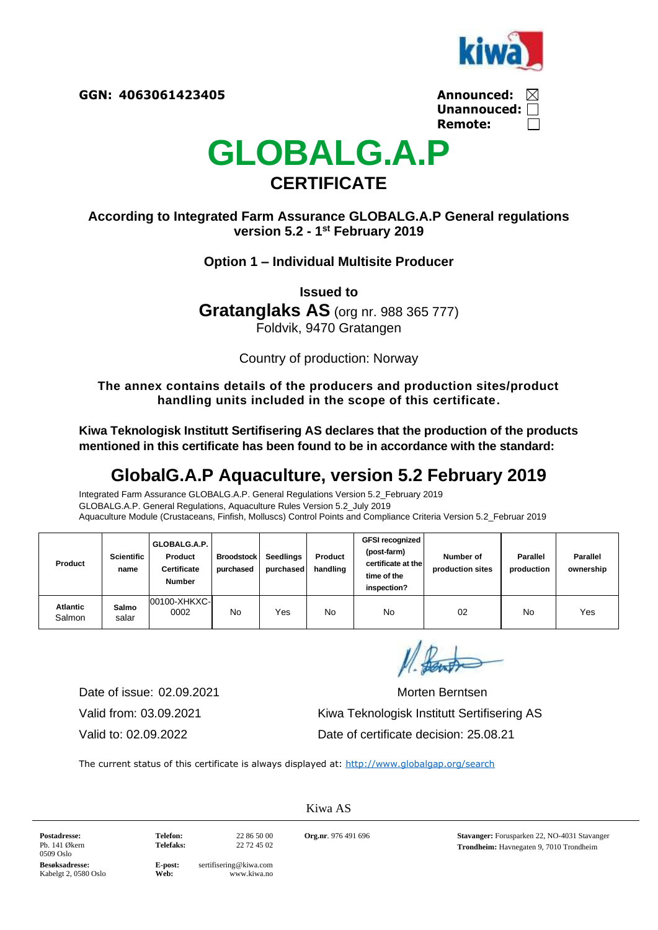

| Announced:         | $\bowtie$ |
|--------------------|-----------|
| Unannouced: $\Box$ |           |
| Remote:            | $\perp$   |



## **According to Integrated Farm Assurance GLOBALG.A.P General regulations version 5.2 - 1 st February 2019**

### **Option 1 – Individual Multisite Producer**

**Issued to Gratanglaks AS** (org nr. 988 365 777) Foldvik, 9470 Gratangen

Country of production: Norway

**The annex contains details of the producers and production sites/product handling units included in the scope of this certificate.**

**Kiwa Teknologisk Institutt Sertifisering AS declares that the production of the products mentioned in this certificate has been found to be in accordance with the standard:**

# **GlobalG.A.P Aquaculture, version 5.2 February 2019**

Integrated Farm Assurance GLOBALG.A.P. General Regulations Version 5.2\_February 2019 GLOBALG.A.P. General Regulations, Aquaculture Rules Version 5.2\_July 2019 Aquaculture Module (Crustaceans, Finfish, Molluscs) Control Points and Compliance Criteria Version 5.2\_Februar 2019

| Product                   | <b>Scientific</b><br>name | GLOBALG.A.P.<br>Product<br><b>Certificate</b><br><b>Number</b> | <b>Broodstock</b><br>purchased | <b>Seedlings</b><br>purchased | Product<br>handling | <b>GFSI recognized</b><br>(post-farm)<br>certificate at the<br>time of the<br>inspection? | Number of<br>production sites | Parallel<br>production | <b>Parallel</b><br>ownership |
|---------------------------|---------------------------|----------------------------------------------------------------|--------------------------------|-------------------------------|---------------------|-------------------------------------------------------------------------------------------|-------------------------------|------------------------|------------------------------|
| <b>Atlantic</b><br>Salmon | Salmo<br>salar            | 00100-XHKXC-<br>0002                                           | No                             | Yes                           | No                  | No                                                                                        | 02                            | No                     | Yes                          |

Date of issue: 02.09.2021 Morten Berntsen

Valid from: 03.09.2021 Kiwa Teknologisk Institutt Sertifisering AS Valid to: 02.09.2022 Date of certificate decision: 25.08.21

The current status of this certificate is always displayed at:<http://www.globalgap.org/search>

**Postadresse:** Pb. 141 Økern 0509 Oslo

**Telefon:** 22 86 50 00

**Telefaks:** 22 72 45 02

Kiwa AS

**Org.nr**. 976 491 696 **Stavanger:** Forusparken 22, NO-4031 Stavanger **Trondheim:** Havnegaten 9, 7010 Trondheim

**Besøksadresse:** Kabelgt 2, 0580 Oslo

**E-post:** sertifisering@kiwa.com<br>Web: www.kiwa.no **Web:** www.kiwa.no